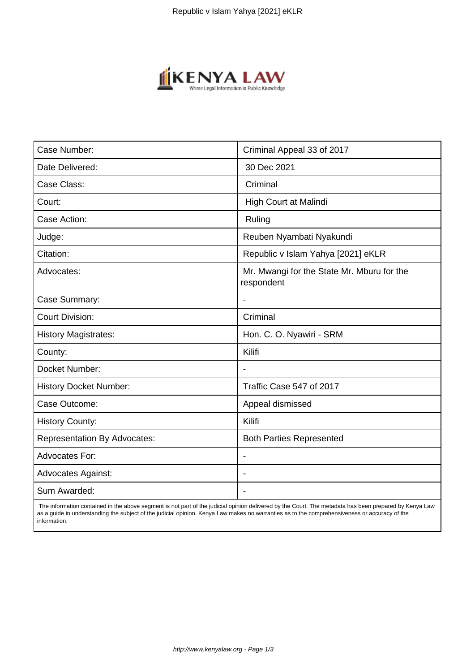

| Case Number:                        | Criminal Appeal 33 of 2017                               |
|-------------------------------------|----------------------------------------------------------|
| Date Delivered:                     | 30 Dec 2021                                              |
| Case Class:                         | Criminal                                                 |
| Court:                              | High Court at Malindi                                    |
| Case Action:                        | Ruling                                                   |
| Judge:                              | Reuben Nyambati Nyakundi                                 |
| Citation:                           | Republic v Islam Yahya [2021] eKLR                       |
| Advocates:                          | Mr. Mwangi for the State Mr. Mburu for the<br>respondent |
| Case Summary:                       |                                                          |
| <b>Court Division:</b>              | Criminal                                                 |
| <b>History Magistrates:</b>         | Hon. C. O. Nyawiri - SRM                                 |
| County:                             | Kilifi                                                   |
| Docket Number:                      |                                                          |
| <b>History Docket Number:</b>       | Traffic Case 547 of 2017                                 |
| Case Outcome:                       | Appeal dismissed                                         |
| <b>History County:</b>              | Kilifi                                                   |
| <b>Representation By Advocates:</b> | <b>Both Parties Represented</b>                          |
| Advocates For:                      |                                                          |
| <b>Advocates Against:</b>           |                                                          |
| Sum Awarded:                        |                                                          |

 The information contained in the above segment is not part of the judicial opinion delivered by the Court. The metadata has been prepared by Kenya Law as a guide in understanding the subject of the judicial opinion. Kenya Law makes no warranties as to the comprehensiveness or accuracy of the information.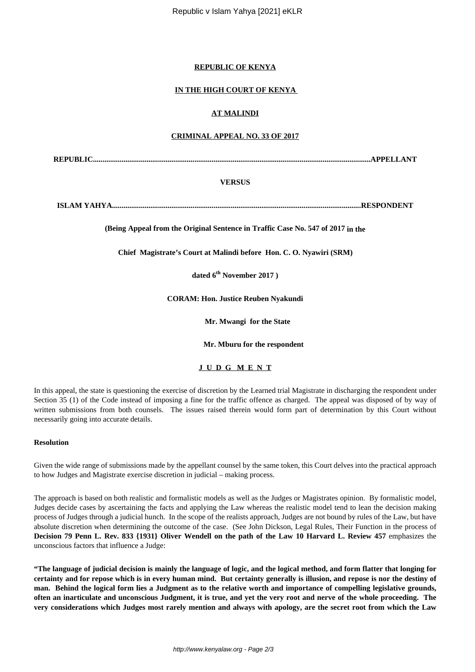### **REPUBLIC OF KENYA**

# **IN THE HIGH COURT OF KENYA**

# **AT MALINDI**

## **CRIMINAL APPEAL NO. 33 OF 2017**

**REPUBLIC.................................................................................................................................................APPELLANT**

### **VERSUS**

**ISLAM YAHYA..................................................................................................................................RESPONDENT**

**(Being Appeal from the Original Sentence in Traffic Case No. 547 of 2017 in the**

**Chief Magistrate's Court at Malindi before Hon. C. O. Nyawiri (SRM)**

**dated 6th November 2017 )**

**CORAM: Hon. Justice Reuben Nyakundi**

 **Mr. Mwangi for the State**

 **Mr. Mburu for the respondent**

**J U D G M E N T**

In this appeal, the state is questioning the exercise of discretion by the Learned trial Magistrate in discharging the respondent under Section 35 (1) of the Code instead of imposing a fine for the traffic offence as charged. The appeal was disposed of by way of written submissions from both counsels. The issues raised therein would form part of determination by this Court without necessarily going into accurate details.

### **Resolution**

Given the wide range of submissions made by the appellant counsel by the same token, this Court delves into the practical approach to how Judges and Magistrate exercise discretion in judicial – making process.

The approach is based on both realistic and formalistic models as well as the Judges or Magistrates opinion. By formalistic model, Judges decide cases by ascertaining the facts and applying the Law whereas the realistic model tend to lean the decision making process of Judges through a judicial hunch. In the scope of the realists approach, Judges are not bound by rules of the Law, but have absolute discretion when determining the outcome of the case. (See John Dickson, Legal Rules, Their Function in the process of **Decision 79 Penn L. Rev. 833 {1931} Oliver Wendell on the path of the Law 10 Harvard L. Review 457** emphasizes the unconscious factors that influence a Judge:

**"The language of judicial decision is mainly the language of logic, and the logical method, and form flatter that longing for certainty and for repose which is in every human mind. But certainty generally is illusion, and repose is nor the destiny of man. Behind the logical form lies a Judgment as to the relative worth and importance of compelling legislative grounds, often an inarticulate and unconscious Judgment, it is true, and yet the very root and nerve of the whole proceeding. The very considerations which Judges most rarely mention and always with apology, are the secret root from which the Law**